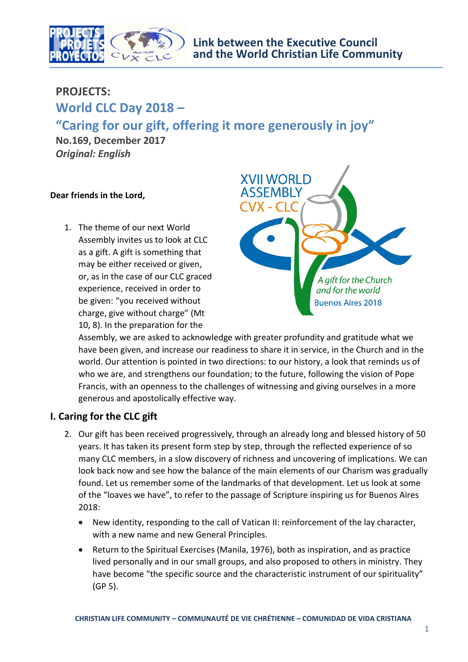

## **PROJECTS:**

# **World CLC Day 2018 – "Caring for our gift, offering it more generously in joy"**

**No.169, December 2017** *Original: English*

### **Dear friends in the Lord,**

1. The theme of our next World Assembly invites us to look at CLC as a gift. A gift is something that may be either received or given, or, as in the case of our CLC graced experience, received in order to be given: "you received without charge, give without charge" (Mt 10, 8). In the preparation for the



Assembly, we are asked to acknowledge with greater profundity and gratitude what we have been given, and increase our readiness to share it in service, in the Church and in the world. Our attention is pointed in two directions: to our history, a look that reminds us of who we are, and strengthens our foundation; to the future, following the vision of Pope Francis, with an openness to the challenges of witnessing and giving ourselves in a more generous and apostolically effective way.

## **I. Caring for the CLC gift**

- 2. Our gift has been received progressively, through an already long and blessed history of 50 years. It has taken its present form step by step, through the reflected experience of so many CLC members, in a slow discovery of richness and uncovering of implications. We can look back now and see how the balance of the main elements of our Charism was gradually found. Let us remember some of the landmarks of that development. Let us look at some of the "loaves we have", to refer to the passage of Scripture inspiring us for Buenos Aires 2018:
	- New identity, responding to the call of Vatican II: reinforcement of the lay character, with a new name and new General Principles.
	- Return to the Spiritual Exercises (Manila, 1976), both as inspiration, and as practice lived personally and in our small groups, and also proposed to others in ministry. They have become "the specific source and the characteristic instrument of our spirituality" (GP 5).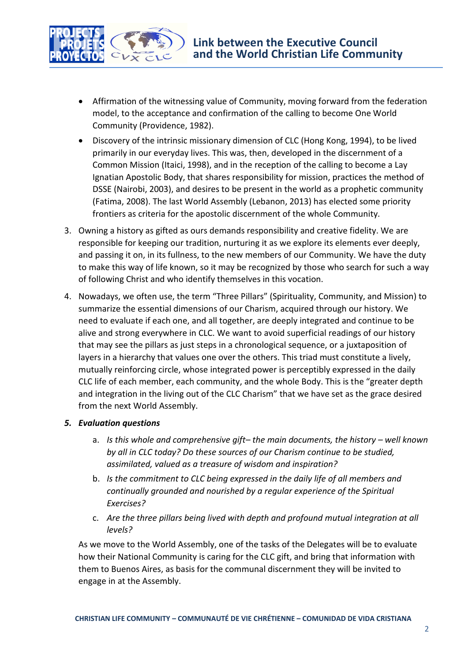

- Affirmation of the witnessing value of Community, moving forward from the federation model, to the acceptance and confirmation of the calling to become One World Community (Providence, 1982).
- Discovery of the intrinsic missionary dimension of CLC (Hong Kong, 1994), to be lived primarily in our everyday lives. This was, then, developed in the discernment of a Common Mission (Itaici, 1998), and in the reception of the calling to become a Lay Ignatian Apostolic Body, that shares responsibility for mission, practices the method of DSSE (Nairobi, 2003), and desires to be present in the world as a prophetic community (Fatima, 2008). The last World Assembly (Lebanon, 2013) has elected some priority frontiers as criteria for the apostolic discernment of the whole Community.
- 3. Owning a history as gifted as ours demands responsibility and creative fidelity. We are responsible for keeping our tradition, nurturing it as we explore its elements ever deeply, and passing it on, in its fullness, to the new members of our Community. We have the duty to make this way of life known, so it may be recognized by those who search for such a way of following Christ and who identify themselves in this vocation.
- 4. Nowadays, we often use, the term "Three Pillars" (Spirituality, Community, and Mission) to summarize the essential dimensions of our Charism, acquired through our history. We need to evaluate if each one, and all together, are deeply integrated and continue to be alive and strong everywhere in CLC. We want to avoid superficial readings of our history that may see the pillars as just steps in a chronological sequence, or a juxtaposition of layers in a hierarchy that values one over the others. This triad must constitute a lively, mutually reinforcing circle, whose integrated power is perceptibly expressed in the daily CLC life of each member, each community, and the whole Body. This is the "greater depth and integration in the living out of the CLC Charism" that we have set as the grace desired from the next World Assembly.

### *5. Evaluation questions*

- a. *Is this whole and comprehensive gift*-the main documents, the history well known *by all in CLC today? Do these sources of our Charism continue to be studied, assimilated, valued as a treasure of wisdom and inspiration?*
- b. *Is the commitment to CLC being expressed in the daily life of all members and continually grounded and nourished by a regular experience of the Spiritual Exercises?*
- c. *Are the three pillars being lived with depth and profound mutual integration at all levels?*

As we move to the World Assembly, one of the tasks of the Delegates will be to evaluate how their National Community is caring for the CLC gift, and bring that information with them to Buenos Aires, as basis for the communal discernment they will be invited to engage in at the Assembly.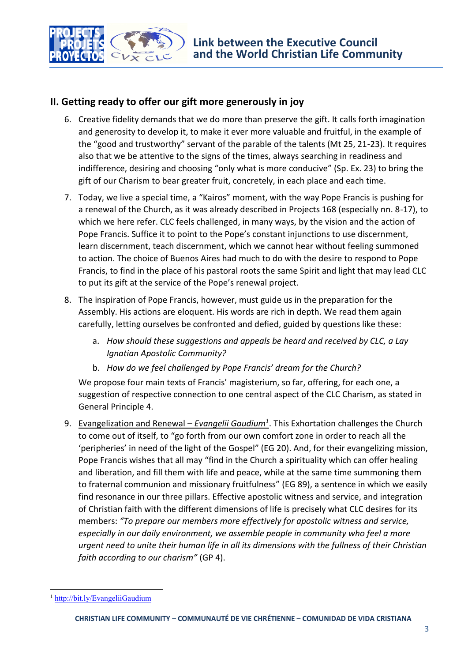

## **II. Getting ready to offer our gift more generously in joy**

- 6. Creative fidelity demands that we do more than preserve the gift. It calls forth imagination and generosity to develop it, to make it ever more valuable and fruitful, in the example of the "good and trustworthy" servant of the parable of the talents (Mt 25, 21-23). It requires also that we be attentive to the signs of the times, always searching in readiness and indifference, desiring and choosing "only what is more conducive" (Sp. Ex. 23) to bring the gift of our Charism to bear greater fruit, concretely, in each place and each time.
- 7. Today, we live a special time, a "Kairos" moment, with the way Pope Francis is pushing for a renewal of the Church, as it was already described in Projects 168 (especially nn. 8-17), to which we here refer. CLC feels challenged, in many ways, by the vision and the action of Pope Francis. Suffice it to point to the Pope's constant injunctions to use discernment, learn discernment, teach discernment, which we cannot hear without feeling summoned to action. The choice of Buenos Aires had much to do with the desire to respond to Pope Francis, to find in the place of his pastoral roots the same Spirit and light that may lead CLC to put its gift at the service of the Pope's renewal project.
- 8. The inspiration of Pope Francis, however, must guide us in the preparation for the Assembly. His actions are eloquent. His words are rich in depth. We read them again carefully, letting ourselves be confronted and defied, guided by questions like these:
	- a. *How should these suggestions and appeals be heard and received by CLC, a Lay Ignatian Apostolic Community?*
	- b. *How do we feel challenged by Pope Francis' dream for the Church?*

We propose four main texts of Francis' magisterium, so far, offering, for each one, a suggestion of respective connection to one central aspect of the CLC Charism, as stated in General Principle 4.

9. Evangelization and Renewal – *Evangelii Gaudium<sup>1</sup>* . This Exhortation challenges the Church to come out of itself, to "go forth from our own comfort zone in order to reach all the 'peripheries' in need of the light of the Gospel" (EG 20). And, for their evangelizing mission, Pope Francis wishes that all may "find in the Church a spirituality which can offer healing and liberation, and fill them with life and peace, while at the same time summoning them to fraternal communion and missionary fruitfulness" (EG 89), a sentence in which we easily find resonance in our three pillars. Effective apostolic witness and service, and integration of Christian faith with the different dimensions of life is precisely what CLC desires for its members: *"To prepare our members more effectively for apostolic witness and service, especially in our daily environment, we assemble people in community who feel a more urgent need to unite their human life in all its dimensions with the fullness of their Christian faith according to our charism"* (GP 4).

 $\overline{a}$ 

<sup>1</sup> <http://bit.ly/EvangeliiGaudium>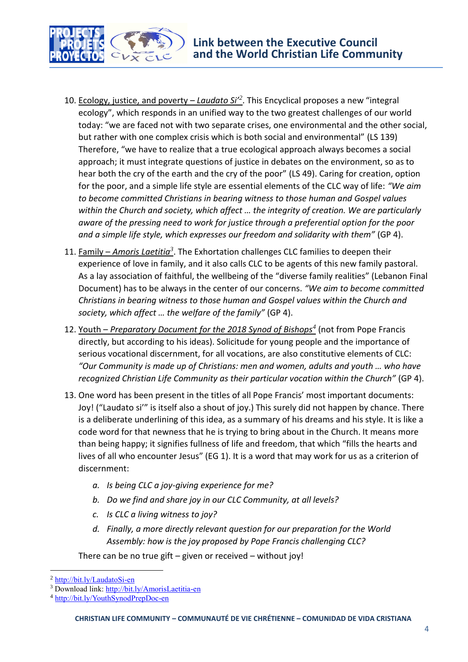

- 10. Ecology, justice, and poverty *Laudato Si' 2* . This Encyclical proposes a new "integral ecology", which responds in an unified way to the two greatest challenges of our world today: "we are faced not with two separate crises, one environmental and the other social, but rather with one complex crisis which is both social and environmental" (LS 139) Therefore, "we have to realize that a true ecological approach always becomes a social approach; it must integrate questions of justice in debates on the environment, so as to hear both the cry of the earth and the cry of the poor" (LS 49). Caring for creation, option for the poor, and a simple life style are essential elements of the CLC way of life: *"We aim to become committed Christians in bearing witness to those human and Gospel values within the Church and society, which affect … the integrity of creation. We are particularly aware of the pressing need to work for justice through a preferential option for the poor and a simple life style, which expresses our freedom and solidarity with them"* (GP 4).
- 11. Family *Amoris Laetitia<sup>3</sup>*. The Exhortation challenges CLC families to deepen their experience of love in family, and it also calls CLC to be agents of this new family pastoral. As a lay association of faithful, the wellbeing of the "diverse family realities" (Lebanon Final Document) has to be always in the center of our concerns. *"We aim to become committed Christians in bearing witness to those human and Gospel values within the Church and society, which affect … the welfare of the family"* (GP 4).
- 12. Youth *Preparatory Document for the 2018 Synod of Bishops<sup>4</sup>* (not from Pope Francis directly, but according to his ideas). Solicitude for young people and the importance of serious vocational discernment, for all vocations, are also constitutive elements of CLC: *"Our Community is made up of Christians: men and women, adults and youth … who have recognized Christian Life Community as their particular vocation within the Church"* (GP 4).
- 13. One word has been present in the titles of all Pope Francis' most important documents: Joy! ("Laudato si'" is itself also a shout of joy.) This surely did not happen by chance. There is a deliberate underlining of this idea, as a summary of his dreams and his style. It is like a code word for that newness that he is trying to bring about in the Church. It means more than being happy; it signifies fullness of life and freedom, that which "fills the hearts and lives of all who encounter Jesus" (EG 1). It is a word that may work for us as a criterion of discernment:
	- *a. Is being CLC a joy-giving experience for me?*
	- *b. Do we find and share joy in our CLC Community, at all levels?*
	- *c. Is CLC a living witness to joy?*
	- *d. Finally, a more directly relevant question for our preparation for the World Assembly: how is the joy proposed by Pope Francis challenging CLC?*

There can be no true gift – given or received – without joy!

 $\overline{\phantom{a}}$ 

<sup>2</sup> <http://bit.ly/LaudatoSi-en>

<sup>3</sup> Download link[: http://bit.ly/AmorisLaetitia-en](http://bit.ly/AmorisLaetitia-en)

<sup>4</sup> <http://bit.ly/YouthSynodPrepDoc-en>